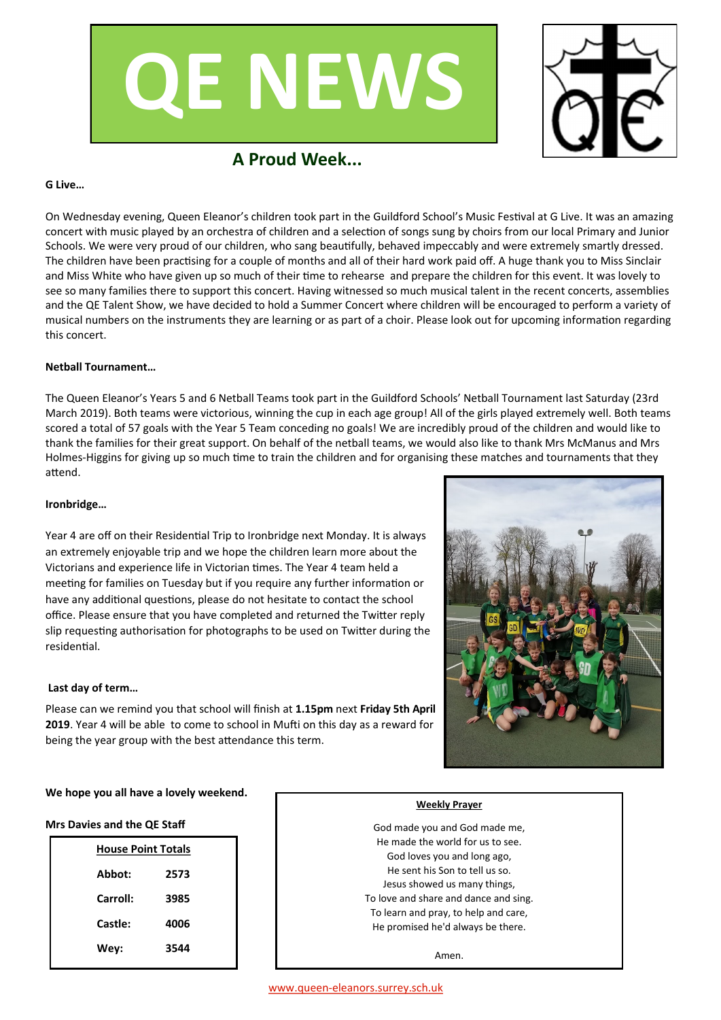



# **A Proud Week...**

#### **G Live…**

On Wednesday evening, Queen Eleanor's children took part in the Guildford School's Music Festival at G Live. It was an amazing concert with music played by an orchestra of children and a selection of songs sung by choirs from our local Primary and Junior Schools. We were very proud of our children, who sang beautifully, behaved impeccably and were extremely smartly dressed. The children have been practising for a couple of months and all of their hard work paid off. A huge thank you to Miss Sinclair and Miss White who have given up so much of their time to rehearse and prepare the children for this event. It was lovely to see so many families there to support this concert. Having witnessed so much musical talent in the recent concerts, assemblies and the QE Talent Show, we have decided to hold a Summer Concert where children will be encouraged to perform a variety of musical numbers on the instruments they are learning or as part of a choir. Please look out for upcoming information regarding this concert.

### **Netball Tournament…**

The Queen Eleanor's Years 5 and 6 Netball Teams took part in the Guildford Schools' Netball Tournament last Saturday (23rd March 2019). Both teams were victorious, winning the cup in each age group! All of the girls played extremely well. Both teams scored a total of 57 goals with the Year 5 Team conceding no goals! We are incredibly proud of the children and would like to thank the families for their great support. On behalf of the netball teams, we would also like to thank Mrs McManus and Mrs Holmes-Higgins for giving up so much time to train the children and for organising these matches and tournaments that they attend.

#### **Ironbridge…**

Year 4 are off on their Residential Trip to Ironbridge next Monday. It is always an extremely enjoyable trip and we hope the children learn more about the Victorians and experience life in Victorian times. The Year 4 team held a meeting for families on Tuesday but if you require any further information or have any additional questions, please do not hesitate to contact the school office. Please ensure that you have completed and returned the Twitter reply slip requesting authorisation for photographs to be used on Twitter during the residential.

#### **Last day of term…**

Please can we remind you that school will finish at **1.15pm** next **Friday 5th April 2019**. Year 4 will be able to come to school in Mufti on this day as a reward for being the year group with the best attendance this term.



#### **We hope you all have a lovely weekend.**

#### **Mrs Davies and the QE Staff**

| <b>House Point Totals</b> |      |  |  |  |
|---------------------------|------|--|--|--|
| Abbot:                    | 2573 |  |  |  |
| Carroll:                  | 3985 |  |  |  |
| Castle:                   | 4006 |  |  |  |
| Wey:                      | 3544 |  |  |  |
|                           |      |  |  |  |

#### **Weekly Prayer**

God made you and God made me, He made the world for us to see. God loves you and long ago, He sent his Son to tell us so. Jesus showed us many things, To love and share and dance and sing. To learn and pray, to help and care, He promised he'd always be there.

Amen.